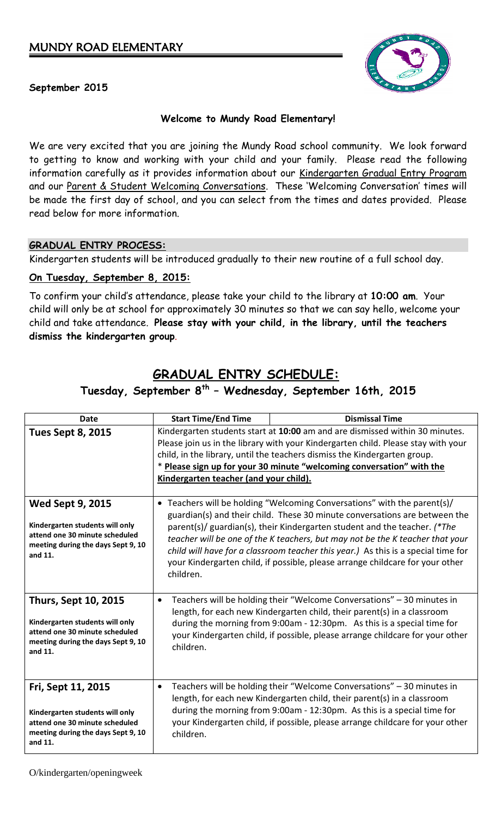

## **September 2015**

## **Welcome to Mundy Road Elementary!**

We are very excited that you are joining the Mundy Road school community. We look forward to getting to know and working with your child and your family. Please read the following information carefully as it provides information about our Kindergarten Gradual Entry Program and our Parent & Student Welcoming Conversations. These 'Welcoming Conversation' times will be made the first day of school, and you can select from the times and dates provided. Please read below for more information.

### **GRADUAL ENTRY PROCESS:**

Kindergarten students will be introduced gradually to their new routine of a full school day.

### **On Tuesday, September 8, 2015:**

To confirm your child's attendance, please take your child to the library at **10:00 am**. Your child will only be at school for approximately 30 minutes so that we can say hello, welcome your child and take attendance. **Please stay with your child, in the library, until the teachers dismiss the kindergarten group**.

## **GRADUAL ENTRY SCHEDULE:**

## **Tuesday, September 8 th – Wednesday, September 16th, 2015**

| <b>Date</b>                                                                                                                                       | <b>Start Time/End Time</b>                                                                                                                                                                                                                                                                                                                                        | <b>Dismissal Time</b>                                                                                                                                                                                                                                                                                                                                                                                                                                                                      |
|---------------------------------------------------------------------------------------------------------------------------------------------------|-------------------------------------------------------------------------------------------------------------------------------------------------------------------------------------------------------------------------------------------------------------------------------------------------------------------------------------------------------------------|--------------------------------------------------------------------------------------------------------------------------------------------------------------------------------------------------------------------------------------------------------------------------------------------------------------------------------------------------------------------------------------------------------------------------------------------------------------------------------------------|
| <b>Tues Sept 8, 2015</b>                                                                                                                          | Kindergarten students start at 10:00 am and are dismissed within 30 minutes.<br>Please join us in the library with your Kindergarten child. Please stay with your<br>child, in the library, until the teachers dismiss the Kindergarten group.<br>* Please sign up for your 30 minute "welcoming conversation" with the<br>Kindergarten teacher (and your child). |                                                                                                                                                                                                                                                                                                                                                                                                                                                                                            |
| <b>Wed Sept 9, 2015</b><br>Kindergarten students will only<br>attend one 30 minute scheduled<br>meeting during the days Sept 9, 10<br>and 11.     | children.                                                                                                                                                                                                                                                                                                                                                         | • Teachers will be holding "Welcoming Conversations" with the parent(s)/<br>guardian(s) and their child. These 30 minute conversations are between the<br>parent(s)/ guardian(s), their Kindergarten student and the teacher. (*The<br>teacher will be one of the K teachers, but may not be the K teacher that your<br>child will have for a classroom teacher this year.) As this is a special time for<br>your Kindergarten child, if possible, please arrange childcare for your other |
| <b>Thurs, Sept 10, 2015</b><br>Kindergarten students will only<br>attend one 30 minute scheduled<br>meeting during the days Sept 9, 10<br>and 11. | $\bullet$<br>children.                                                                                                                                                                                                                                                                                                                                            | Teachers will be holding their "Welcome Conversations" - 30 minutes in<br>length, for each new Kindergarten child, their parent(s) in a classroom<br>during the morning from 9:00am - 12:30pm. As this is a special time for<br>your Kindergarten child, if possible, please arrange childcare for your other                                                                                                                                                                              |
| Fri, Sept 11, 2015<br>Kindergarten students will only<br>attend one 30 minute scheduled<br>meeting during the days Sept 9, 10<br>and 11.          | $\bullet$<br>children.                                                                                                                                                                                                                                                                                                                                            | Teachers will be holding their "Welcome Conversations" - 30 minutes in<br>length, for each new Kindergarten child, their parent(s) in a classroom<br>during the morning from 9:00am - 12:30pm. As this is a special time for<br>your Kindergarten child, if possible, please arrange childcare for your other                                                                                                                                                                              |